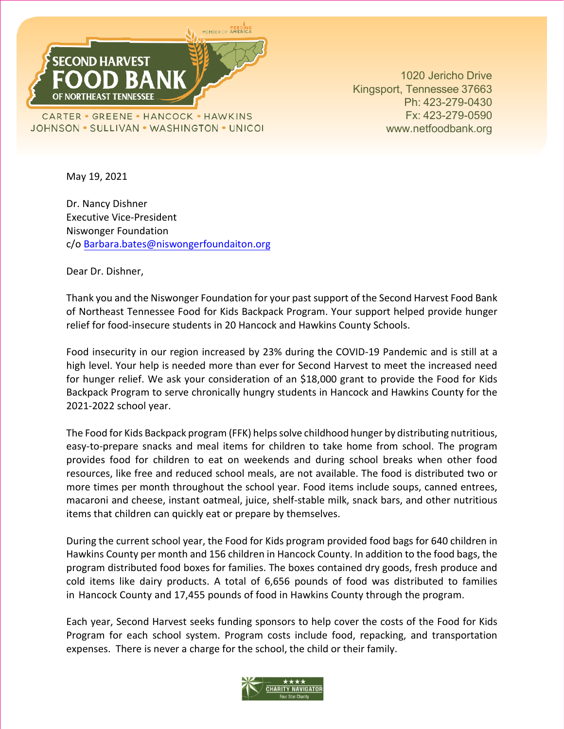

1020 Jericho Drive Kingsport, Tennessee 37663 Ph: 423-279-0430 Fx: 423-279-0590 [www.netfoodbank.org](http://www.netfoodbank.org/)

May 19, 2021

Dr. Nancy Dishner Executive Vice-President Niswonger Foundation c/o [Barbara.bates@niswongerfoundaiton.org](mailto:Barbara.bates@niswongerfoundaiton.org)

Dear Dr. Dishner,

Thank you and the Niswonger Foundation for your past support of the Second Harvest Food Bank of Northeast Tennessee Food for Kids Backpack Program. Your support helped provide hunger relief for food-insecure students in 20 Hancock and Hawkins County Schools.

Food insecurity in our region increased by 23% during the COVID-19 Pandemic and is still at a high level. Your help is needed more than ever for Second Harvest to meet the increased need for hunger relief. We ask your consideration of an \$18,000 grant to provide the Food for Kids Backpack Program to serve chronically hungry students in Hancock and Hawkins County for the 2021-2022 school year.

The Food for Kids Backpack program (FFK) helps solve childhood hunger by distributing nutritious, easy-to-prepare snacks and meal items for children to take home from school. The program provides food for children to eat on weekends and during school breaks when other food resources, like free and reduced school meals, are not available. The food is distributed two or more times per month throughout the school year. Food items include soups, canned entrees, macaroni and cheese, instant oatmeal, juice, shelf-stable milk, snack bars, and other nutritious items that children can quickly eat or prepare by themselves.

During the current school year, the Food for Kids program provided food bags for 640 children in Hawkins County per month and 156 children in Hancock County. In addition to the food bags, the program distributed food boxes for families. The boxes contained dry goods, fresh produce and cold items like dairy products. A total of 6,656 pounds of food was distributed to families in Hancock County and 17,455 pounds of food in Hawkins County through the program.

Each year, Second Harvest seeks funding sponsors to help cover the costs of the Food for Kids Program for each school system. Program costs include food, repacking, and transportation expenses. There is never a charge for the school, the child or their family.